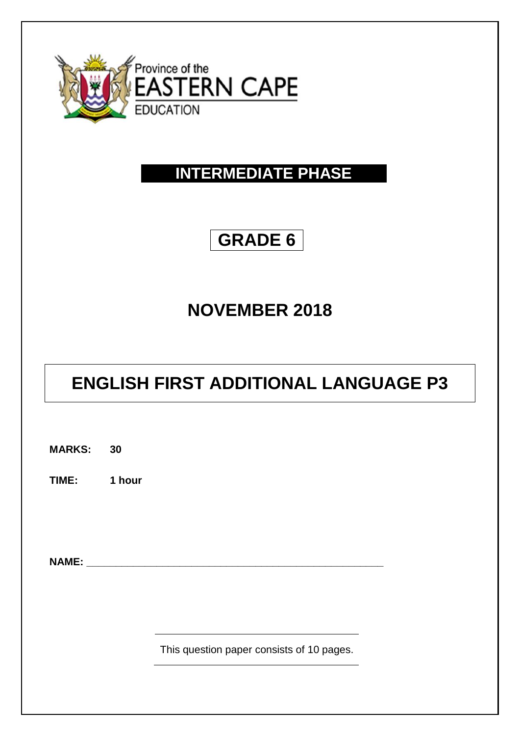

# **INTERMEDIATE PHASE**

# **GRADE 6**

# **NOVEMBER 2018**

# **ENGLISH FIRST ADDITIONAL LANGUAGE P3**

**MARKS: 30 TIME: 1 hour NAME: \_\_\_\_\_\_\_\_\_\_\_\_\_\_\_\_\_\_\_\_\_\_\_\_\_\_\_\_\_\_\_\_\_\_\_\_\_\_\_\_\_\_\_\_\_\_\_\_\_\_\_** This question paper consists of 10 pages.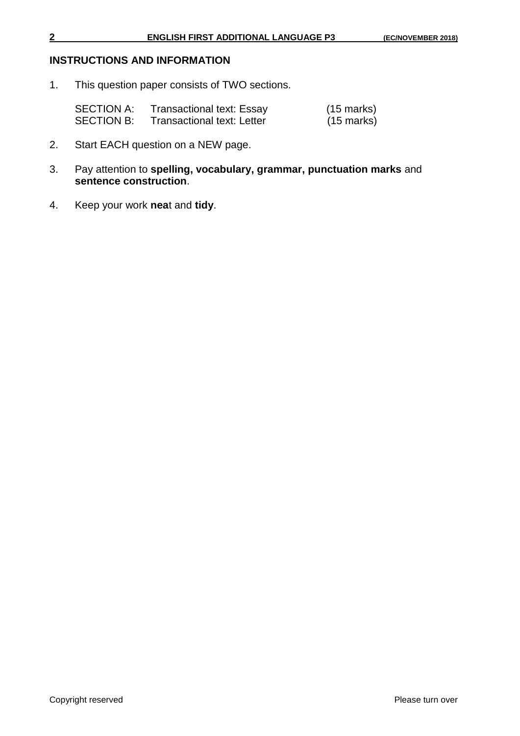# **INSTRUCTIONS AND INFORMATION**

1. This question paper consists of TWO sections.

| <b>SECTION A:</b> | <b>Transactional text: Essay</b>  | $(15 \text{ marks})$ |
|-------------------|-----------------------------------|----------------------|
| <b>SECTION B:</b> | <b>Transactional text: Letter</b> | $(15 \text{ marks})$ |

- 2. Start EACH question on a NEW page.
- 3. Pay attention to **spelling, vocabulary, grammar, punctuation marks** and **sentence construction**.
- 4. Keep your work **nea**t and **tidy**.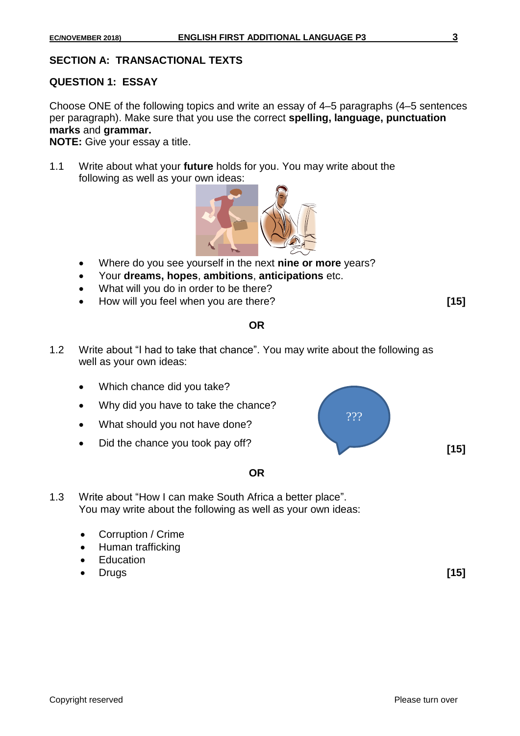## **SECTION A: TRANSACTIONAL TEXTS**

# **QUESTION 1: ESSAY**

Choose ONE of the following topics and write an essay of 4–5 paragraphs (4–5 sentences per paragraph). Make sure that you use the correct **spelling, language, punctuation marks** and **grammar.**

**NOTE:** Give your essay a title.

1.1 Write about what your **future** holds for you. You may write about the following as well as your own ideas:



- Where do you see yourself in the next **nine or more** years?
- Your **dreams, hopes**, **ambitions**, **anticipations** etc.
- What will you do in order to be there?
- How will you feel when you are there? **[15]**

## **OR**

- 1.2 Write about "I had to take that chance". You may write about the following as well as your own ideas:
	- Which chance did you take?
	- Why did you have to take the chance?
	- What should you not have done?
	- Did the chance you took pay off?

### **OR**

- 1.3 Write about "How I can make South Africa a better place". You may write about the following as well as your own ideas:
	- Corruption / Crime
	- Human trafficking
	- Education
	- Drugs **[15]**

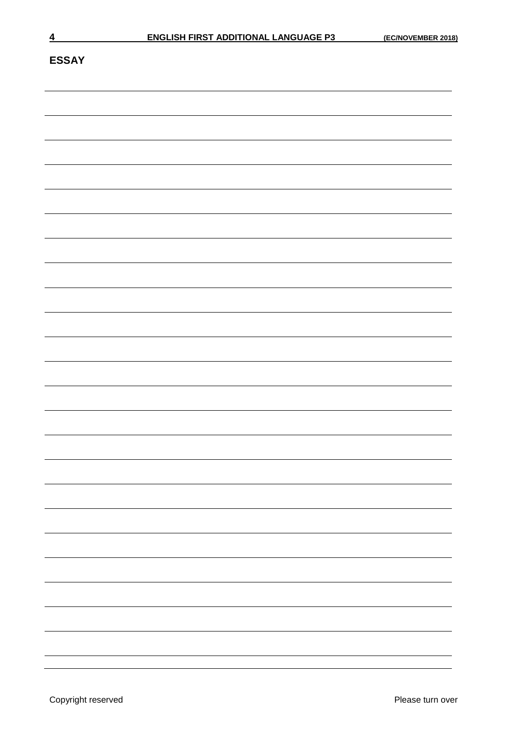| × |  |
|---|--|

# **ESSAY**

| <b>ESSAY</b> |   |
|--------------|---|
|              |   |
|              |   |
|              |   |
|              |   |
|              |   |
|              |   |
|              |   |
|              |   |
|              |   |
|              |   |
|              |   |
|              |   |
|              |   |
|              |   |
|              |   |
|              |   |
|              |   |
|              |   |
|              |   |
|              |   |
|              |   |
|              |   |
|              |   |
|              |   |
|              |   |
|              |   |
|              |   |
|              |   |
|              |   |
|              |   |
|              |   |
|              |   |
|              |   |
|              |   |
|              |   |
|              | - |
|              |   |
|              |   |
|              | - |
|              |   |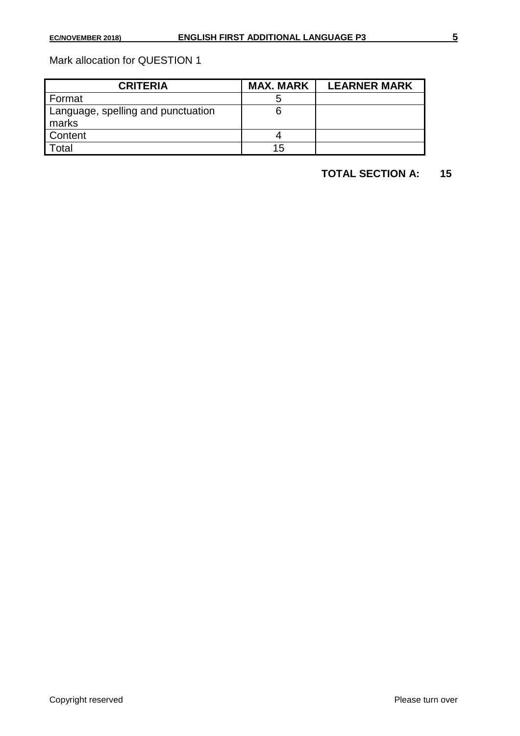Mark allocation for QUESTION 1

| <b>CRITERIA</b>                             | <b>MAX. MARK</b> | <b>LEARNER MARK</b> |
|---------------------------------------------|------------------|---------------------|
| Format                                      | G                |                     |
| Language, spelling and punctuation<br>marks |                  |                     |
| Content                                     |                  |                     |
| otal                                        | 15               |                     |

# **TOTAL SECTION A: 15**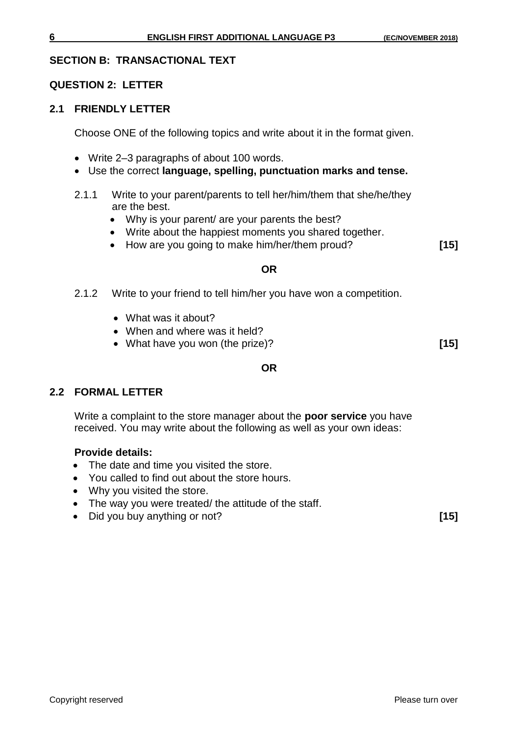## **SECTION B: TRANSACTIONAL TEXT**

# **QUESTION 2: LETTER**

# **2.1 FRIENDLY LETTER**

Choose ONE of the following topics and write about it in the format given.

- Write 2–3 paragraphs of about 100 words.
- Use the correct **language, spelling, punctuation marks and tense.**
- 2.1.1 Write to your parent/parents to tell her/him/them that she/he/they are the best.
	- Why is your parent/ are your parents the best?
	- Write about the happiest moments you shared together.
	- How are you going to make him/her/them proud? **[15]**

### **OR**

- 2.1.2 Write to your friend to tell him/her you have won a competition.
	- What was it about?
	- When and where was it held?
	- What have you won (the prize)? **[15]**

## **OR**

# **2.2 FORMAL LETTER**

Write a complaint to the store manager about the **poor service** you have received. You may write about the following as well as your own ideas:

## **Provide details:**

- The date and time you visited the store.
- You called to find out about the store hours.
- Why you visited the store.
- The way you were treated/ the attitude of the staff.
- Did you buy anything or not? **[15]**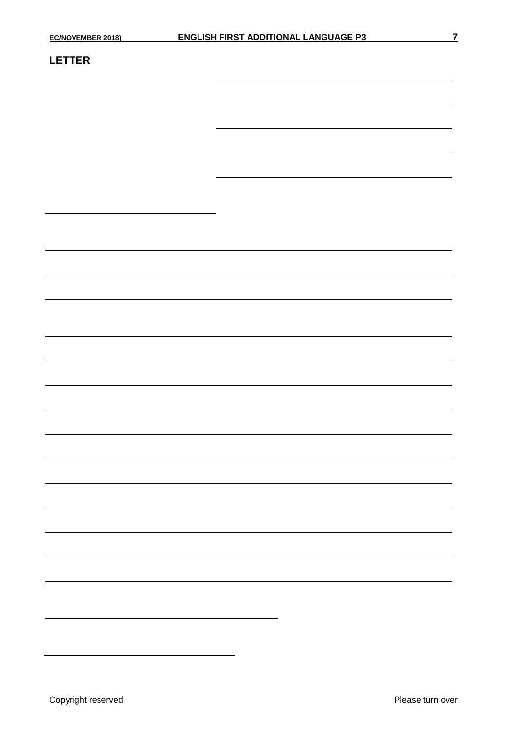<u> 1980 - Johann Barbara, martxa alemaniar amerikan a</u>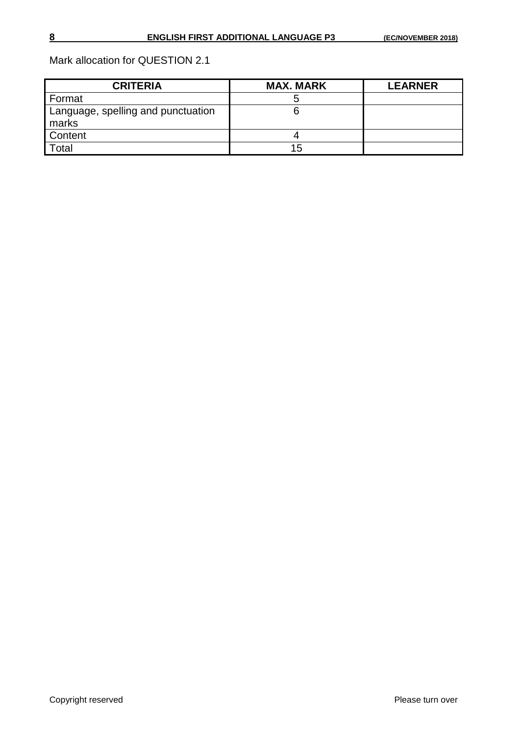Mark allocation for QUESTION 2.1

| <b>CRITERIA</b>                             | <b>MAX. MARK</b> | <b>LEARNER</b> |
|---------------------------------------------|------------------|----------------|
| Format                                      |                  |                |
| Language, spelling and punctuation<br>marks |                  |                |
| Content                                     |                  |                |
| Total                                       | 15               |                |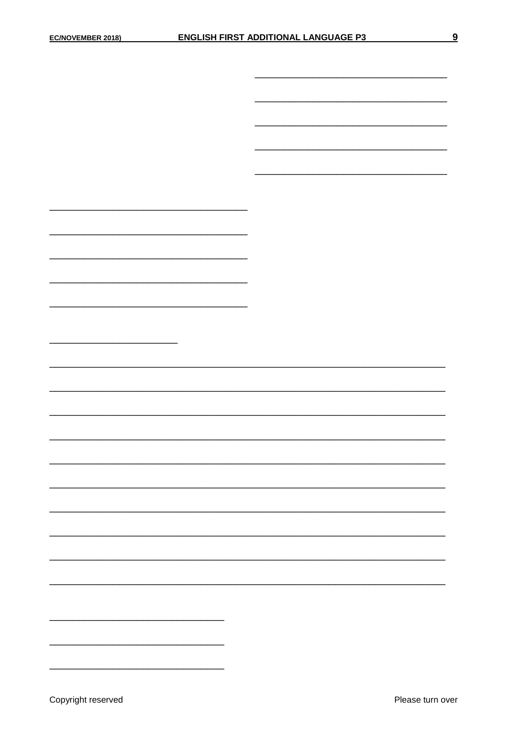$\overline{\phantom{0}}$ 

| Copyright reserved |
|--------------------|
|--------------------|

<u> 1989 - Johann John Stein, markin fan it ferskearre fan it ferskearre fan it ferskearre fan it ferskearre fan </u>